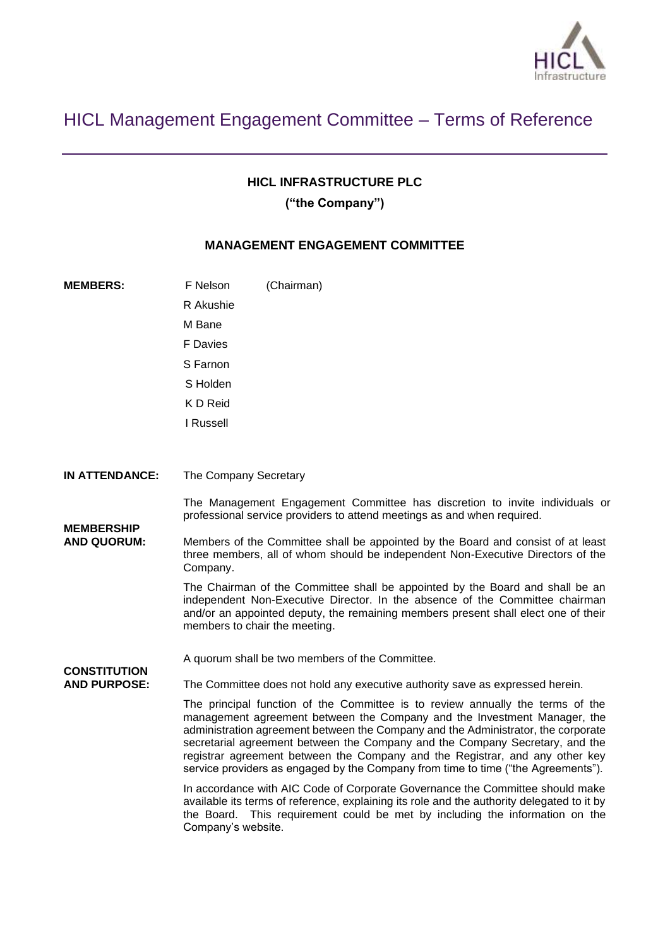

# HICL Management Engagement Committee – Terms of Reference

### **HICL INFRASTRUCTURE PLC**

**("the Company")**

### **MANAGEMENT ENGAGEMENT COMMITTEE**

| <b>MEMBERS:</b>                                                                       | F Nelson                                                                                                                                                                                                                                                                                                                                                                                                                                                                                             | (Chairman)                                                                                                                                                                                                                                                                           |
|---------------------------------------------------------------------------------------|------------------------------------------------------------------------------------------------------------------------------------------------------------------------------------------------------------------------------------------------------------------------------------------------------------------------------------------------------------------------------------------------------------------------------------------------------------------------------------------------------|--------------------------------------------------------------------------------------------------------------------------------------------------------------------------------------------------------------------------------------------------------------------------------------|
|                                                                                       | R Akushie                                                                                                                                                                                                                                                                                                                                                                                                                                                                                            |                                                                                                                                                                                                                                                                                      |
|                                                                                       | M Bane                                                                                                                                                                                                                                                                                                                                                                                                                                                                                               |                                                                                                                                                                                                                                                                                      |
|                                                                                       | F Davies                                                                                                                                                                                                                                                                                                                                                                                                                                                                                             |                                                                                                                                                                                                                                                                                      |
|                                                                                       | S Farnon                                                                                                                                                                                                                                                                                                                                                                                                                                                                                             |                                                                                                                                                                                                                                                                                      |
|                                                                                       | S Holden                                                                                                                                                                                                                                                                                                                                                                                                                                                                                             |                                                                                                                                                                                                                                                                                      |
|                                                                                       | K D Reid                                                                                                                                                                                                                                                                                                                                                                                                                                                                                             |                                                                                                                                                                                                                                                                                      |
|                                                                                       | I Russell                                                                                                                                                                                                                                                                                                                                                                                                                                                                                            |                                                                                                                                                                                                                                                                                      |
| <b>IN ATTENDANCE:</b>                                                                 | The Company Secretary                                                                                                                                                                                                                                                                                                                                                                                                                                                                                |                                                                                                                                                                                                                                                                                      |
|                                                                                       |                                                                                                                                                                                                                                                                                                                                                                                                                                                                                                      |                                                                                                                                                                                                                                                                                      |
| <b>MEMBERSHIP</b><br><b>AND QUORUM:</b><br><b>CONSTITUTION</b><br><b>AND PURPOSE:</b> |                                                                                                                                                                                                                                                                                                                                                                                                                                                                                                      | The Management Engagement Committee has discretion to invite individuals or<br>professional service providers to attend meetings as and when required.                                                                                                                               |
|                                                                                       | Members of the Committee shall be appointed by the Board and consist of at least<br>three members, all of whom should be independent Non-Executive Directors of the<br>Company.                                                                                                                                                                                                                                                                                                                      |                                                                                                                                                                                                                                                                                      |
|                                                                                       |                                                                                                                                                                                                                                                                                                                                                                                                                                                                                                      | The Chairman of the Committee shall be appointed by the Board and shall be an<br>independent Non-Executive Director. In the absence of the Committee chairman<br>and/or an appointed deputy, the remaining members present shall elect one of their<br>members to chair the meeting. |
|                                                                                       |                                                                                                                                                                                                                                                                                                                                                                                                                                                                                                      | A quorum shall be two members of the Committee.                                                                                                                                                                                                                                      |
|                                                                                       |                                                                                                                                                                                                                                                                                                                                                                                                                                                                                                      | The Committee does not hold any executive authority save as expressed herein.                                                                                                                                                                                                        |
|                                                                                       | The principal function of the Committee is to review annually the terms of the<br>management agreement between the Company and the Investment Manager, the<br>administration agreement between the Company and the Administrator, the corporate<br>secretarial agreement between the Company and the Company Secretary, and the<br>registrar agreement between the Company and the Registrar, and any other key<br>service providers as engaged by the Company from time to time ("the Agreements"). |                                                                                                                                                                                                                                                                                      |
|                                                                                       | the Board.<br>Company's website.                                                                                                                                                                                                                                                                                                                                                                                                                                                                     | In accordance with AIC Code of Corporate Governance the Committee should make<br>available its terms of reference, explaining its role and the authority delegated to it by<br>This requirement could be met by including the information on the                                     |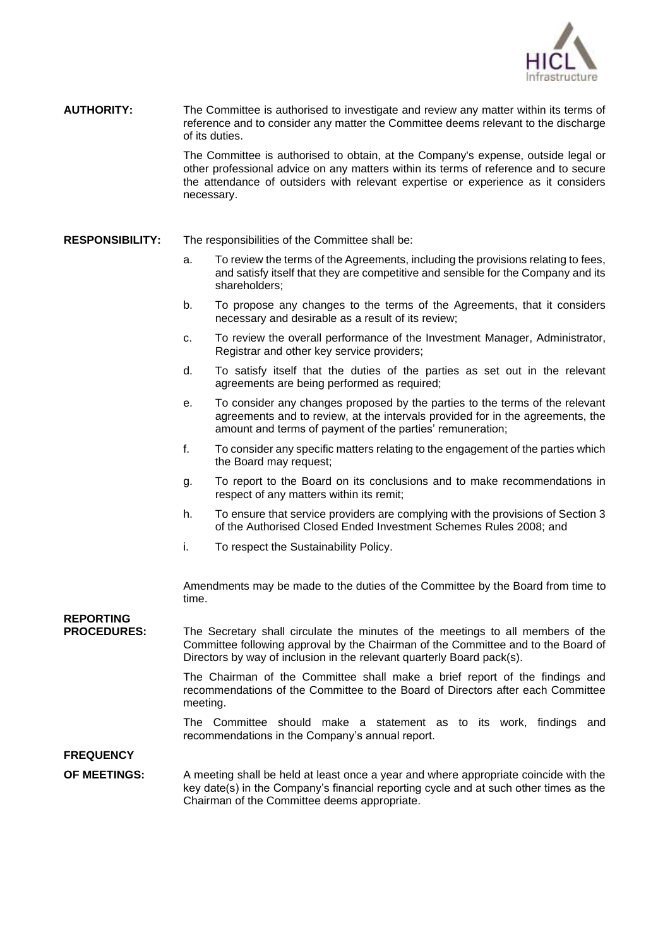

**AUTHORITY:** The Committee is authorised to investigate and review any matter within its terms of reference and to consider any matter the Committee deems relevant to the discharge of its duties.

> The Committee is authorised to obtain, at the Company's expense, outside legal or other professional advice on any matters within its terms of reference and to secure the attendance of outsiders with relevant expertise or experience as it considers necessary.

#### **RESPONSIBILITY:** The responsibilities of the Committee shall be:

- a. To review the terms of the Agreements, including the provisions relating to fees, and satisfy itself that they are competitive and sensible for the Company and its shareholders;
- b. To propose any changes to the terms of the Agreements, that it considers necessary and desirable as a result of its review;
- c. To review the overall performance of the Investment Manager, Administrator, Registrar and other key service providers;
- d. To satisfy itself that the duties of the parties as set out in the relevant agreements are being performed as required;
- e. To consider any changes proposed by the parties to the terms of the relevant agreements and to review, at the intervals provided for in the agreements, the amount and terms of payment of the parties' remuneration;
- f. To consider any specific matters relating to the engagement of the parties which the Board may request;
- g. To report to the Board on its conclusions and to make recommendations in respect of any matters within its remit;
- h. To ensure that service providers are complying with the provisions of Section 3 of the Authorised Closed Ended Investment Schemes Rules 2008; and
- i. To respect the Sustainability Policy.

Amendments may be made to the duties of the Committee by the Board from time to time.

## **REPORTING**

**PROCEDURES:** The Secretary shall circulate the minutes of the meetings to all members of the Committee following approval by the Chairman of the Committee and to the Board of Directors by way of inclusion in the relevant quarterly Board pack(s).

> The Chairman of the Committee shall make a brief report of the findings and recommendations of the Committee to the Board of Directors after each Committee meeting.

> The Committee should make a statement as to its work, findings and recommendations in the Company's annual report.

**FREQUENCY** 

**OF MEETINGS:** A meeting shall be held at least once a year and where appropriate coincide with the key date(s) in the Company's financial reporting cycle and at such other times as the Chairman of the Committee deems appropriate.